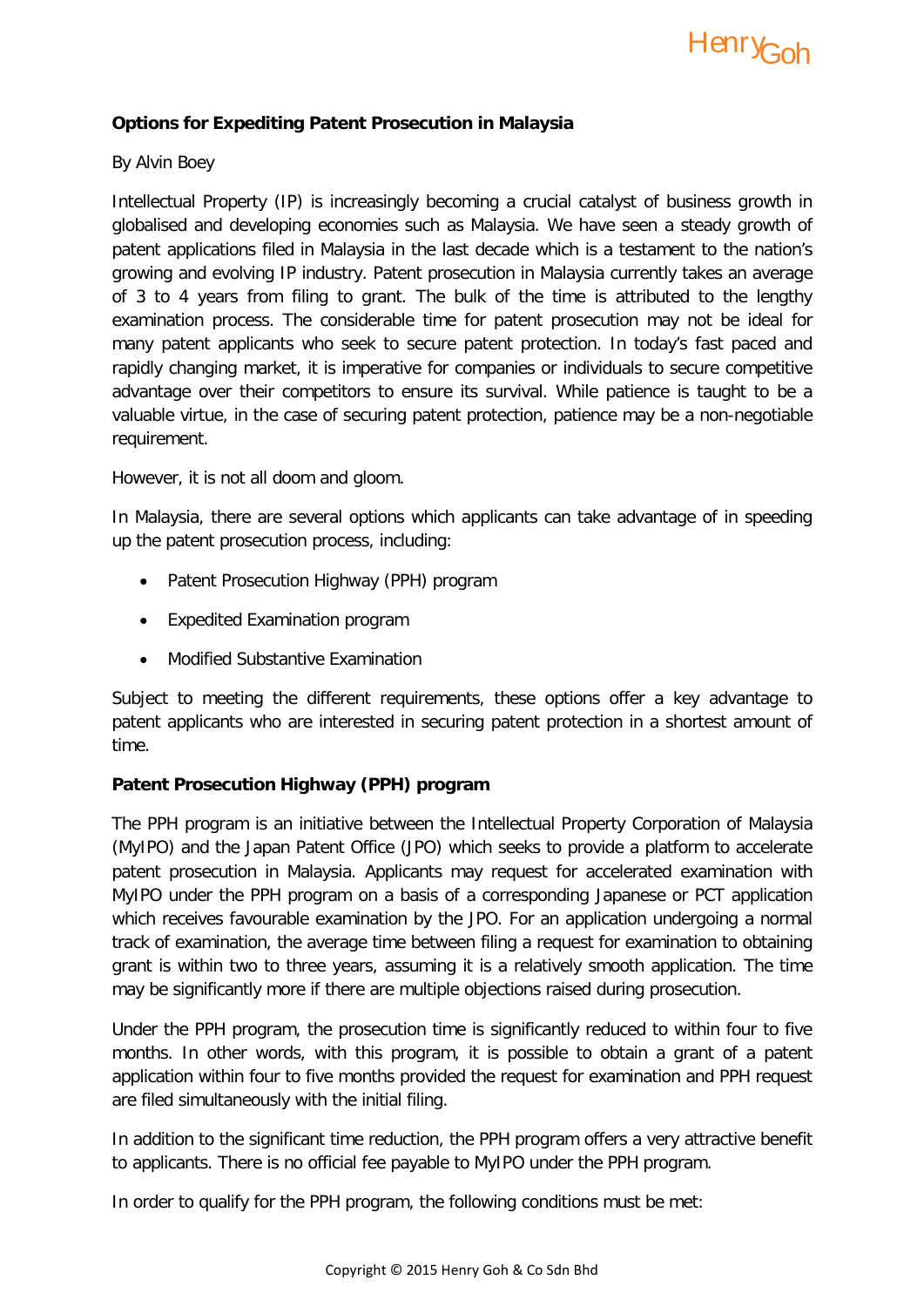

## **Options for Expediting Patent Prosecution in Malaysia**

### By Alvin Boey

Intellectual Property (IP) is increasingly becoming a crucial catalyst of business growth in globalised and developing economies such as Malaysia. We have seen a steady growth of patent applications filed in Malaysia in the last decade which is a testament to the nation's growing and evolving IP industry. Patent prosecution in Malaysia currently takes an average of 3 to 4 years from filing to grant. The bulk of the time is attributed to the lengthy examination process. The considerable time for patent prosecution may not be ideal for many patent applicants who seek to secure patent protection. In today's fast paced and rapidly changing market, it is imperative for companies or individuals to secure competitive advantage over their competitors to ensure its survival. While patience is taught to be a valuable virtue, in the case of securing patent protection, patience may be a non-negotiable requirement.

However, it is not all doom and gloom.

In Malaysia, there are several options which applicants can take advantage of in speeding up the patent prosecution process, including:

- Patent Prosecution Highway (PPH) program
- Expedited Examination program
- Modified Substantive Examination

Subject to meeting the different requirements, these options offer a key advantage to patent applicants who are interested in securing patent protection in a shortest amount of time.

### **Patent Prosecution Highway (PPH) program**

The PPH program is an initiative between the Intellectual Property Corporation of Malaysia (MyIPO) and the Japan Patent Office (JPO) which seeks to provide a platform to accelerate patent prosecution in Malaysia. Applicants may request for accelerated examination with MyIPO under the PPH program on a basis of a corresponding Japanese or PCT application which receives favourable examination by the JPO. For an application undergoing a normal track of examination, the average time between filing a request for examination to obtaining grant is within two to three years, assuming it is a relatively smooth application. The time may be significantly more if there are multiple objections raised during prosecution.

Under the PPH program, the prosecution time is significantly reduced to within four to five months. In other words, with this program, it is possible to obtain a grant of a patent application within four to five months provided the request for examination and PPH request are filed simultaneously with the initial filing.

In addition to the significant time reduction, the PPH program offers a very attractive benefit to applicants. There is no official fee payable to MyIPO under the PPH program.

In order to qualify for the PPH program, the following conditions must be met: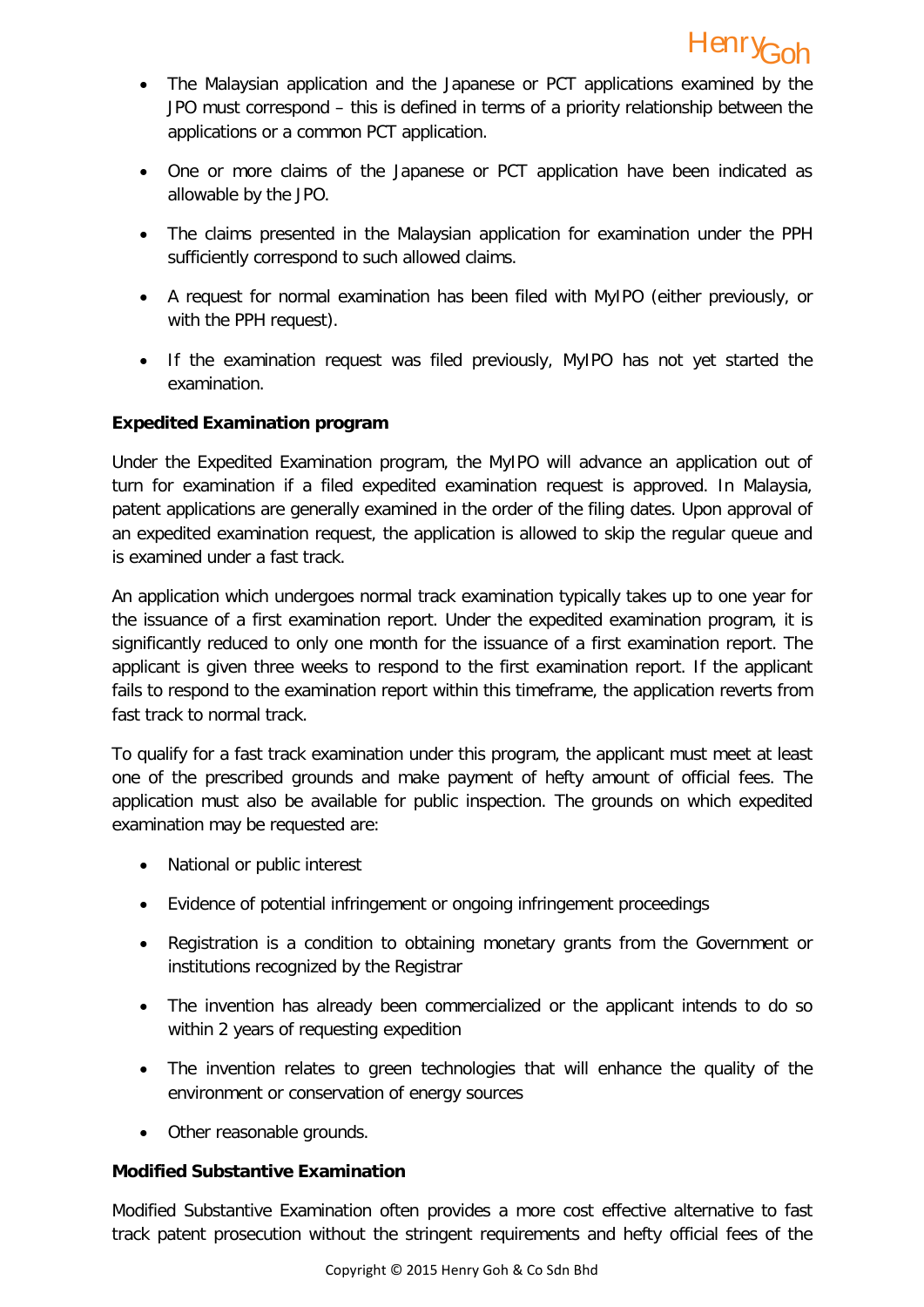- The Malaysian application and the Japanese or PCT applications examined by the JPO must correspond – this is defined in terms of a priority relationship between the applications or a common PCT application.
- One or more claims of the Japanese or PCT application have been indicated as allowable by the JPO.
- The claims presented in the Malaysian application for examination under the PPH sufficiently correspond to such allowed claims.
- A request for normal examination has been filed with MyIPO (either previously, or with the PPH request).
- If the examination request was filed previously, MyIPO has not yet started the examination.

# **Expedited Examination program**

Under the Expedited Examination program, the MyIPO will advance an application out of turn for examination if a filed expedited examination request is approved. In Malaysia, patent applications are generally examined in the order of the filing dates. Upon approval of an expedited examination request, the application is allowed to skip the regular queue and is examined under a fast track.

An application which undergoes normal track examination typically takes up to one year for the issuance of a first examination report. Under the expedited examination program, it is significantly reduced to only one month for the issuance of a first examination report. The applicant is given three weeks to respond to the first examination report. If the applicant fails to respond to the examination report within this timeframe, the application reverts from fast track to normal track.

To qualify for a fast track examination under this program, the applicant must meet at least one of the prescribed grounds and make payment of hefty amount of official fees. The application must also be available for public inspection. The grounds on which expedited examination may be requested are:

- National or public interest
- Evidence of potential infringement or ongoing infringement proceedings
- Registration is a condition to obtaining monetary grants from the Government or institutions recognized by the Registrar
- The invention has already been commercialized or the applicant intends to do so within 2 years of requesting expedition
- The invention relates to green technologies that will enhance the quality of the environment or conservation of energy sources
- Other reasonable grounds.

## **Modified Substantive Examination**

Modified Substantive Examination often provides a more cost effective alternative to fast track patent prosecution without the stringent requirements and hefty official fees of the